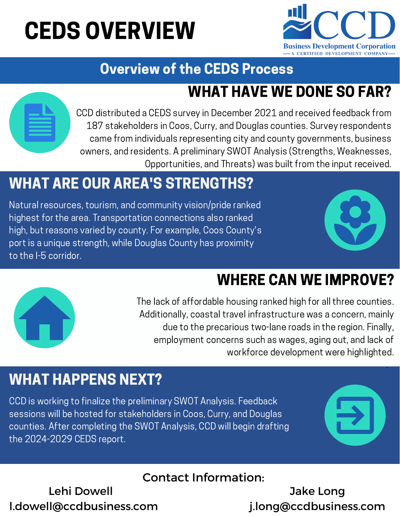# CEDS OVERVIEW



# Overview of the CEDS Process

# WHAT HAVE WE DONE SO FAR?

CCD distributed a CEDS survey in December 2021 and received feedback from 187 stakeholders in Coos, Curry, and Douglas counties. Survey respondents came from individuals representing city and county governments, business owners, and residents. A preliminary SWOT Analysis (Strengths, Weaknesses, Opportunities, and Threats) was built from the input received.

# WHAT ARE OUR AREA'S STRENGTHS?

Natural resources, tourism, and community vision/pride ranked highest for the area. Transportation connections also ranked high, but reasons varied by county. For example, Coos County's port is a unique strength, while Douglas County has proximity to the I-5 corridor.



# WHERE CAN WE IMPROVE?



The lack of affordable housing ranked high for all three counties. Additionally, coastal travel infrastructure was a concern, mainly due to the precarious two-lane roads in the region. Finally, employment concerns such as wages, aging out, and lack of workforce development were highlighted.

### WHAT HAPPENS NEXT?

CCD is working to finalize the preliminary SWOT Analysis. Feedback sessions will be hosted for stakeholders in Coos, Curry, and Douglas counties. After completing the SWOT Analysis, CCD will begin drafting the 2024-2029 CEDS report.



.

#### Contact Information:

Lehi Dowell l.dowell@ccdbusiness.com

Jake Long j.long@ccdbusiness.com